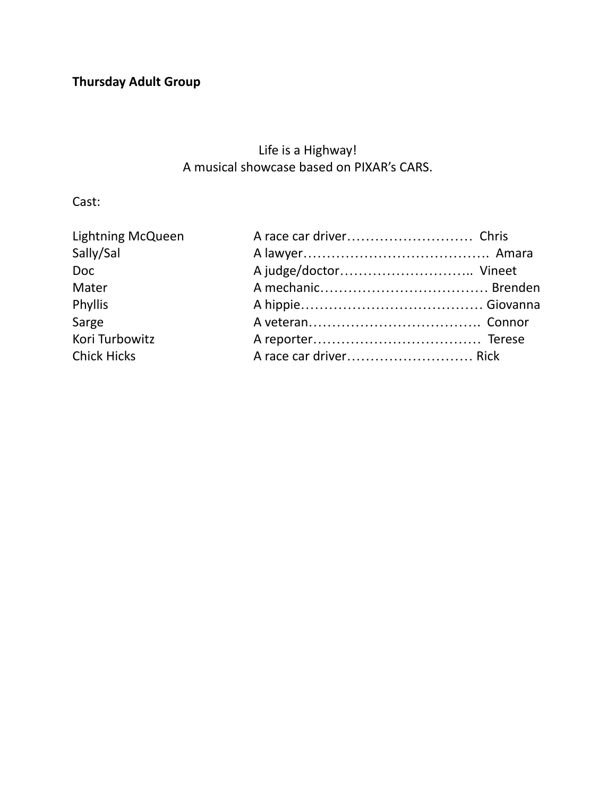# **Thursday Adult Group**

# Life is a Highway! A musical showcase based on PIXAR's CARS.

Cast:

| <b>Lightning McQueen</b> |  |
|--------------------------|--|
| Sally/Sal                |  |
| <b>Doc</b>               |  |
| Mater                    |  |
| Phyllis                  |  |
| Sarge                    |  |
| Kori Turbowitz           |  |
| <b>Chick Hicks</b>       |  |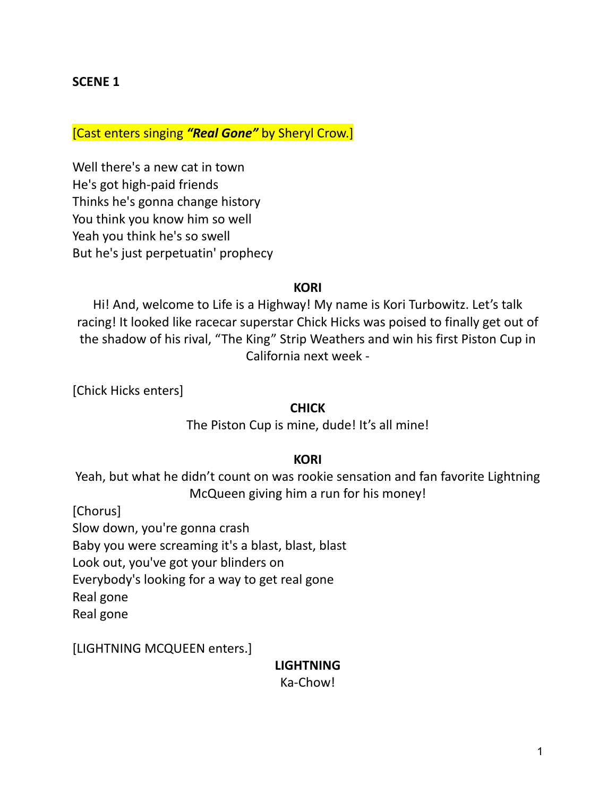#### **SCENE 1**

#### [Cast enters singing *"Real Gone"* by Sheryl Crow.]

Well there's a new cat in town He's got high-paid friends Thinks he's gonna change history You think you know him so well Yeah you think he's so swell But he's just perpetuatin' prophecy

#### **KORI**

Hi! And, welcome to Life is a Highway! My name is Kori Turbowitz. Let's talk racing! It looked like racecar superstar Chick Hicks was poised to finally get out of the shadow of his rival, "The King" Strip Weathers and win his first Piston Cup in California next week -

[Chick Hicks enters]

#### **CHICK**

The Piston Cup is mine, dude! It's all mine!

#### **KORI**

Yeah, but what he didn't count on was rookie sensation and fan favorite Lightning McQueen giving him a run for his money!

[Chorus]

Slow down, you're gonna crash Baby you were screaming it's a blast, blast, blast Look out, you've got your blinders on Everybody's looking for a way to get real gone Real gone Real gone

[LIGHTNING MCQUEEN enters.]

#### **LIGHTNING**

Ka-Chow!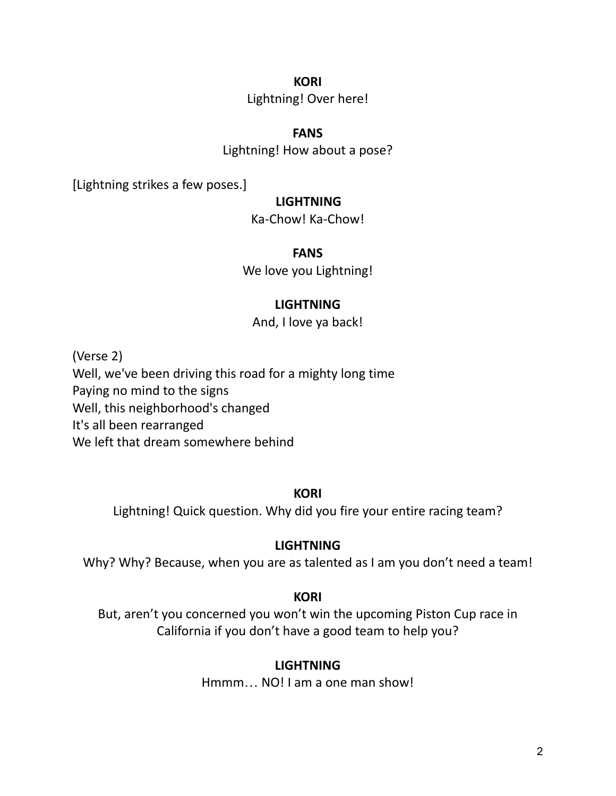#### **KORI**

Lightning! Over here!

#### **FANS**

Lightning! How about a pose?

[Lightning strikes a few poses.]

### **LIGHTNING**

Ka-Chow! Ka-Chow!

#### **FANS**

We love you Lightning!

### **LIGHTNING**

And, I love ya back!

(Verse 2) Well, we've been driving this road for a mighty long time Paying no mind to the signs Well, this neighborhood's changed It's all been rearranged We left that dream somewhere behind

#### **KORI**

Lightning! Quick question. Why did you fire your entire racing team?

#### **LIGHTNING**

Why? Why? Because, when you are as talented as I am you don't need a team!

#### **KORI**

But, aren't you concerned you won't win the upcoming Piston Cup race in California if you don't have a good team to help you?

# **LIGHTNING**

Hmmm… NO! I am a one man show!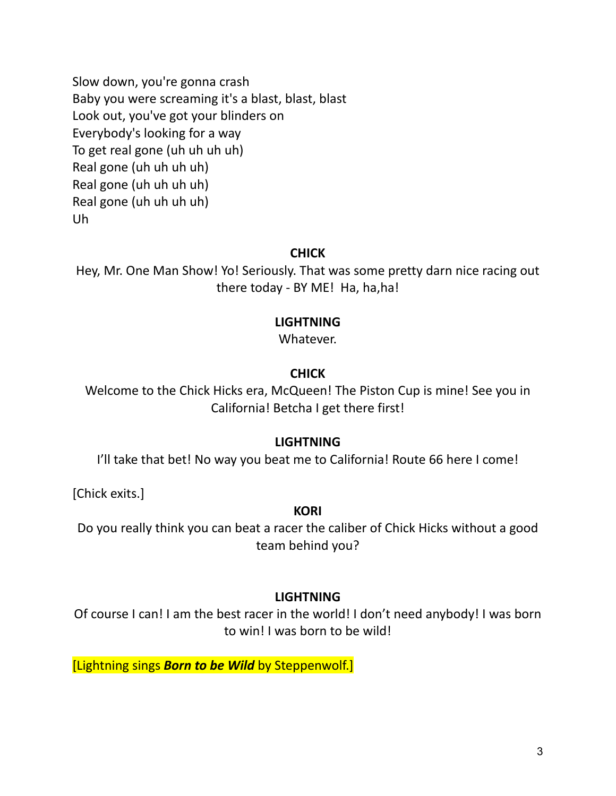Slow down, you're gonna crash Baby you were screaming it's a blast, blast, blast Look out, you've got your blinders on Everybody's looking for a way To get real gone (uh uh uh uh) Real gone (uh uh uh uh) Real gone (uh uh uh uh) Real gone (uh uh uh uh) Uh

#### **CHICK**

Hey, Mr. One Man Show! Yo! Seriously. That was some pretty darn nice racing out there today - BY ME! Ha, ha,ha!

### **LIGHTNING**

Whatever.

# **CHICK**

Welcome to the Chick Hicks era, McQueen! The Piston Cup is mine! See you in California! Betcha I get there first!

#### **LIGHTNING**

I'll take that bet! No way you beat me to California! Route 66 here I come!

[Chick exits.]

#### **KORI**

Do you really think you can beat a racer the caliber of Chick Hicks without a good team behind you?

#### **LIGHTNING**

Of course I can! I am the best racer in the world! I don't need anybody! I was born to win! I was born to be wild!

[Lightning sings *Born to be Wild* by Steppenwolf.]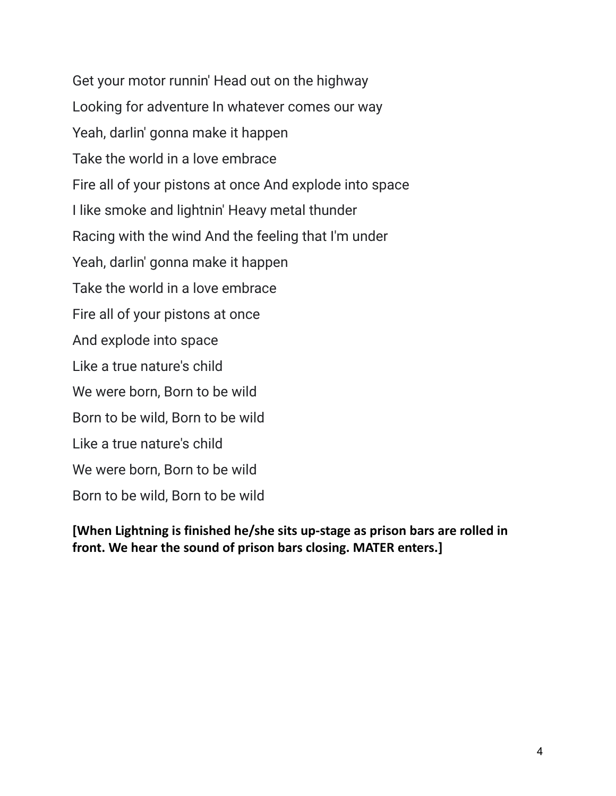Get your motor runnin' Head out on the highway Looking for adventure In whatever comes our way Yeah, darlin' gonna make it happen Take the world in a love embrace Fire all of your pistons at once And explode into space I like smoke and lightnin' Heavy metal thunder Racing with the wind And the feeling that I'm under Yeah, darlin' gonna make it happen Take the world in a love embrace Fire all of your pistons at once And explode into space Like a true nature's child We were born, Born to be wild Born to be wild, Born to be wild Like a true nature's child We were born, Born to be wild Born to be wild, Born to be wild

**[When Lightning is finished he/she sits up-stage as prison bars are rolled in front. We hear the sound of prison bars closing. MATER enters.]**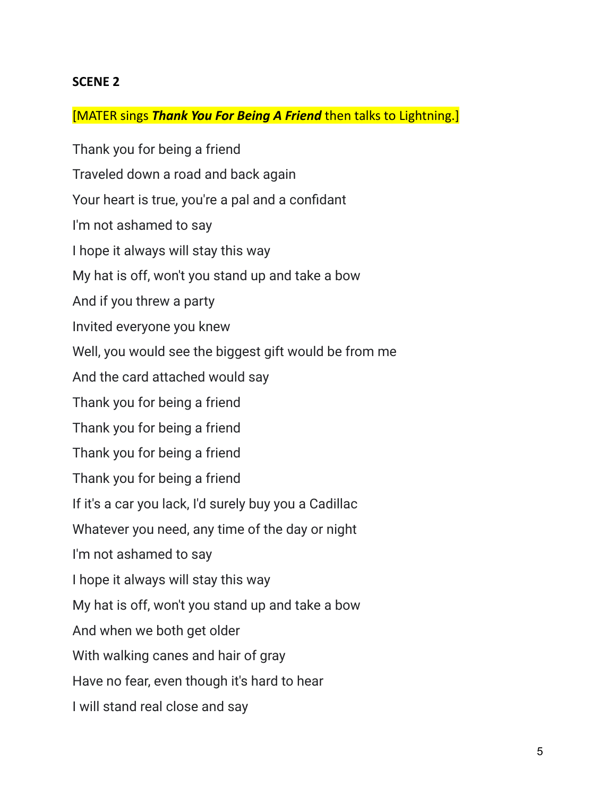### **SCENE 2**

#### [MATER sings *Thank You For Being A Friend* then talks to Lightning.]

Thank you for being a friend Traveled down a road and back again Your heart is true, you're a pal and a confidant I'm not ashamed to say I hope it always will stay this way My hat is off, won't you stand up and take a bow And if you threw a party Invited everyone you knew Well, you would see the biggest gift would be from me And the card attached would say Thank you for being a friend Thank you for being a friend Thank you for being a friend Thank you for being a friend If it's a car you lack, I'd surely buy you a Cadillac Whatever you need, any time of the day or night I'm not ashamed to say I hope it always will stay this way My hat is off, won't you stand up and take a bow And when we both get older With walking canes and hair of gray Have no fear, even though it's hard to hear I will stand real close and say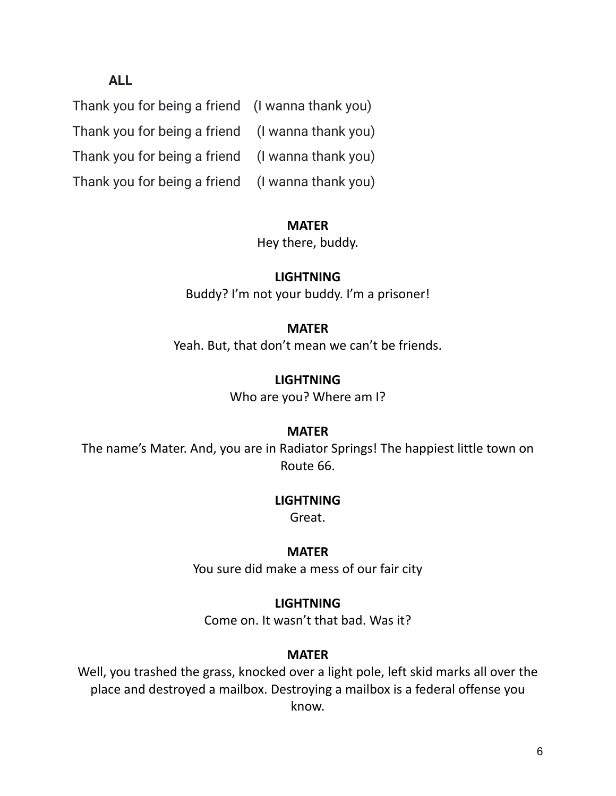# **ALL**

Thank you for being a friend (I wanna thank you) Thank you for being a friend (I wanna thank you) Thank you for being a friend (I wanna thank you) Thank you for being a friend (I wanna thank you)

#### **MATER**

Hey there, buddy.

### **LIGHTNING**

Buddy? I'm not your buddy. I'm a prisoner!

#### **MATER**

Yeah. But, that don't mean we can't be friends.

#### **LIGHTNING**

Who are you? Where am I?

#### **MATER**

The name's Mater. And, you are in Radiator Springs! The happiest little town on Route 66.

#### **LIGHTNING**

Great.

#### **MATER**

You sure did make a mess of our fair city

#### **LIGHTNING**

Come on. It wasn't that bad. Was it?

#### **MATER**

Well, you trashed the grass, knocked over a light pole, left skid marks all over the place and destroyed a mailbox. Destroying a mailbox is a federal offense you know.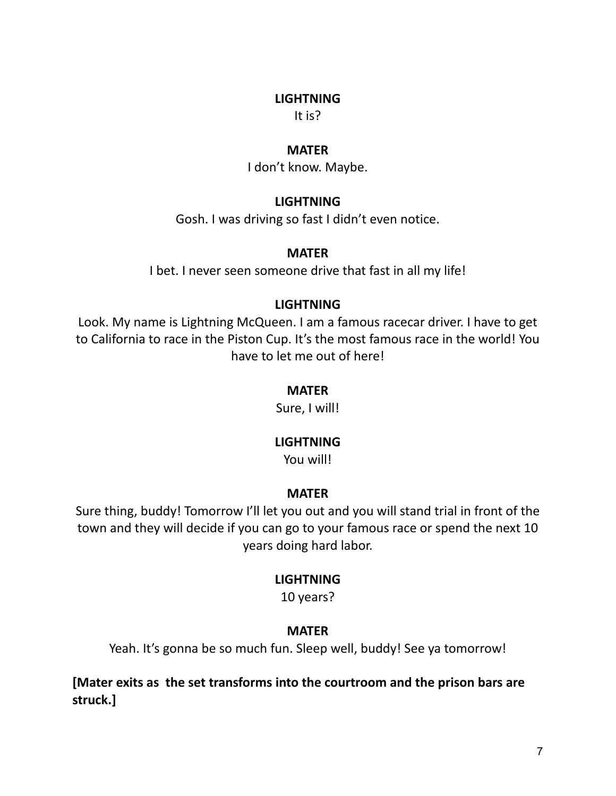#### **LIGHTNING**

It is?

#### **MATER**

I don't know. Maybe.

# **LIGHTNING**

Gosh. I was driving so fast I didn't even notice.

#### **MATER**

I bet. I never seen someone drive that fast in all my life!

# **LIGHTNING**

Look. My name is Lightning McQueen. I am a famous racecar driver. I have to get to California to race in the Piston Cup. It's the most famous race in the world! You have to let me out of here!

#### **MATER**

Sure, I will!

#### **LIGHTNING**

You will!

#### **MATER**

Sure thing, buddy! Tomorrow I'll let you out and you will stand trial in front of the town and they will decide if you can go to your famous race or spend the next 10 years doing hard labor.

# **LIGHTNING**

10 years?

# **MATER**

Yeah. It's gonna be so much fun. Sleep well, buddy! See ya tomorrow!

**[Mater exits as the set transforms into the courtroom and the prison bars are struck.]**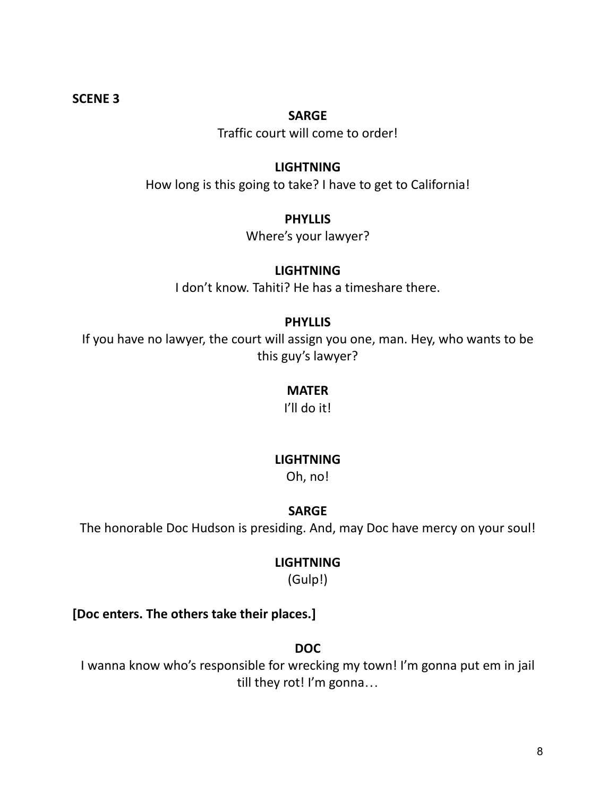#### **SCENE 3**

#### **SARGE**

Traffic court will come to order!

#### **LIGHTNING**

How long is this going to take? I have to get to California!

#### **PHYLLIS**

Where's your lawyer?

#### **LIGHTNING**

I don't know. Tahiti? He has a timeshare there.

# **PHYLLIS**

If you have no lawyer, the court will assign you one, man. Hey, who wants to be this guy's lawyer?

#### **MATER**

I'll do it!

#### **LIGHTNING**

Oh, no!

#### **SARGE**

The honorable Doc Hudson is presiding. And, may Doc have mercy on your soul!

#### **LIGHTNING**

(Gulp!)

#### **[Doc enters. The others take their places.]**

### **DOC**

I wanna know who's responsible for wrecking my town! I'm gonna put em in jail till they rot! I'm gonna…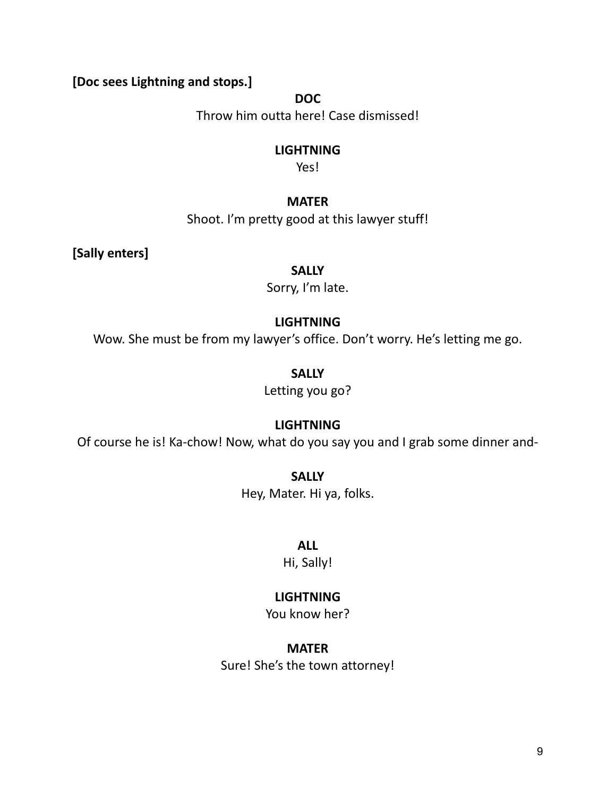### **[Doc sees Lightning and stops.]**

#### **DOC**

Throw him outta here! Case dismissed!

#### **LIGHTNING**

Yes!

#### **MATER**

Shoot. I'm pretty good at this lawyer stuff!

**[Sally enters]**

#### **SALLY**

Sorry, I'm late.

#### **LIGHTNING**

Wow. She must be from my lawyer's office. Don't worry. He's letting me go.

#### **SALLY**

Letting you go?

#### **LIGHTNING**

Of course he is! Ka-chow! Now, what do you say you and I grab some dinner and-

**SALLY**

Hey, Mater. Hi ya, folks.

#### **ALL**

Hi, Sally!

# **LIGHTNING**

You know her?

#### **MATER**

Sure! She's the town attorney!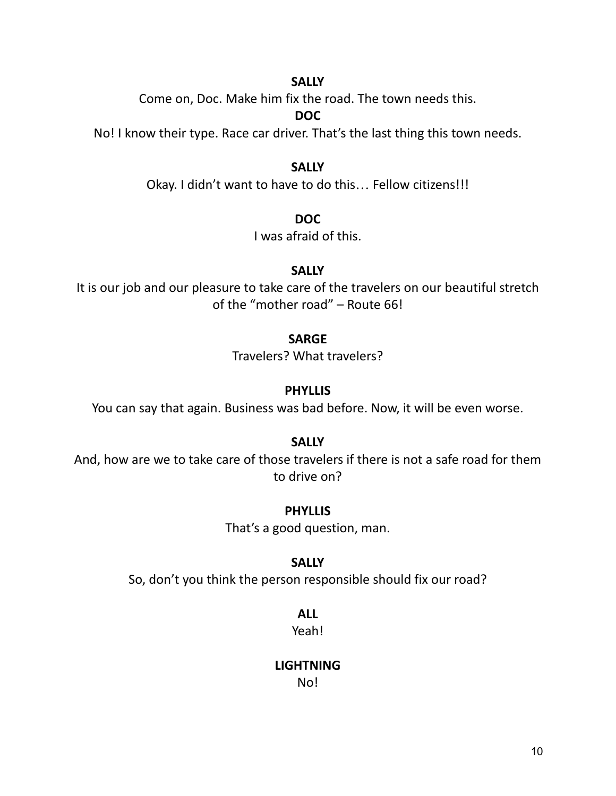#### **SALLY**

Come on, Doc. Make him fix the road. The town needs this.

**DOC**

No! I know their type. Race car driver. That's the last thing this town needs.

#### **SALLY**

Okay. I didn't want to have to do this… Fellow citizens!!!

#### **DOC**

I was afraid of this.

# **SALLY**

It is our job and our pleasure to take care of the travelers on our beautiful stretch of the "mother road" – Route 66!

# **SARGE**

Travelers? What travelers?

# **PHYLLIS**

You can say that again. Business was bad before. Now, it will be even worse.

# **SALLY**

And, how are we to take care of those travelers if there is not a safe road for them to drive on?

# **PHYLLIS**

That's a good question, man.

# **SALLY**

So, don't you think the person responsible should fix our road?

# **ALL**

Yeah!

# **LIGHTNING** No!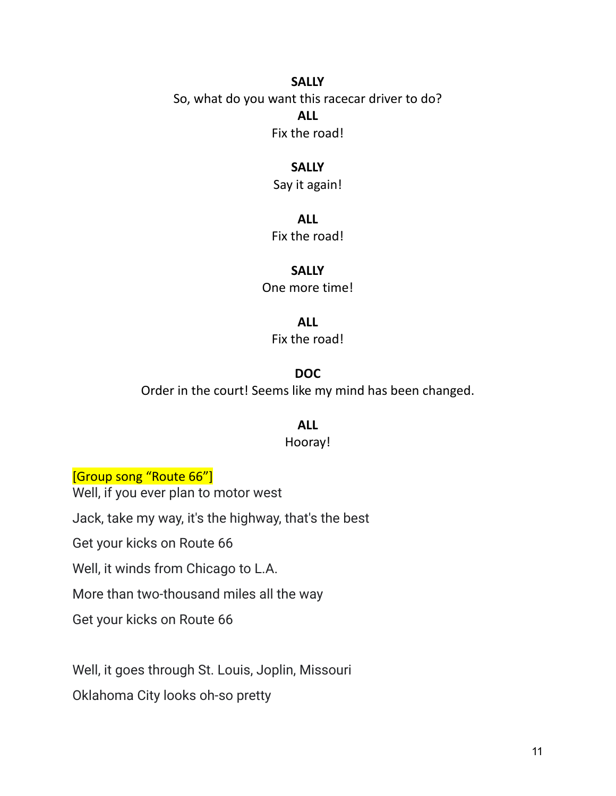# **SALLY** So, what do you want this racecar driver to do? **ALL** Fix the road!

#### **SALLY**

Say it again!

**ALL**

Fix the road!

### **SALLY**

One more time!

**ALL**

Fix the road!

# **DOC**

Order in the court! Seems like my mind has been changed.

# **ALL**

# Hooray!

[Group song "Route 66"]

Well, if you ever plan to motor west

Jack, take my way, it's the highway, that's the best

Get your kicks on Route 66

Well, it winds from Chicago to L.A.

More than two-thousand miles all the way

Get your kicks on Route 66

Well, it goes through St. Louis, Joplin, Missouri

Oklahoma City looks oh-so pretty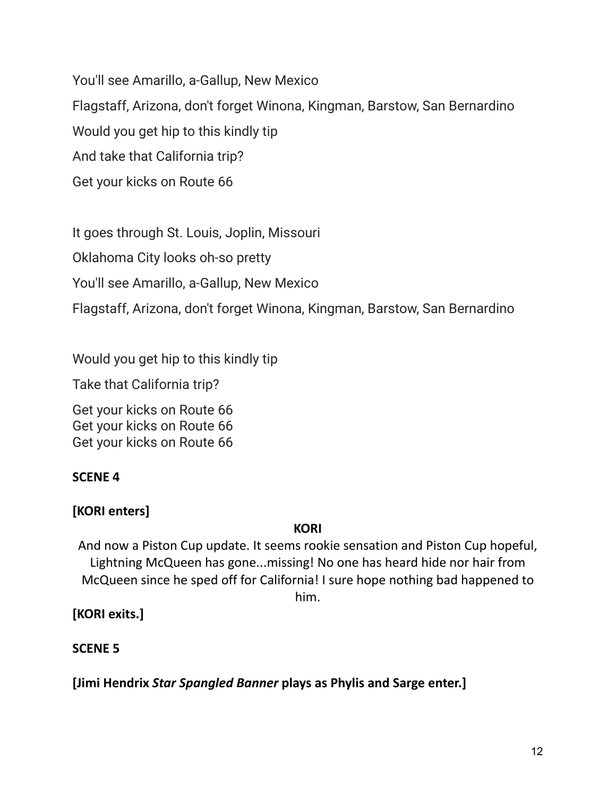You'll see Amarillo, a-Gallup, New Mexico Flagstaff, Arizona, don't forget Winona, Kingman, Barstow, San Bernardino Would you get hip to this kindly tip And take that California trip? Get your kicks on Route 66

It goes through St. Louis, Joplin, Missouri

Oklahoma City looks oh-so pretty

You'll see Amarillo, a-Gallup, New Mexico

Flagstaff, Arizona, don't forget Winona, Kingman, Barstow, San Bernardino

Would you get hip to this kindly tip

Take that California trip?

Get your kicks on Route 66 Get your kicks on Route 66 Get your kicks on Route 66

# **SCENE 4**

# **[KORI enters]**

# **KORI**

And now a Piston Cup update. It seems rookie sensation and Piston Cup hopeful, Lightning McQueen has gone...missing! No one has heard hide nor hair from McQueen since he sped off for California! I sure hope nothing bad happened to him.

**[KORI exits.]**

# **SCENE 5**

**[Jimi Hendrix** *Star Spangled Banner* **plays as Phylis and Sarge enter.]**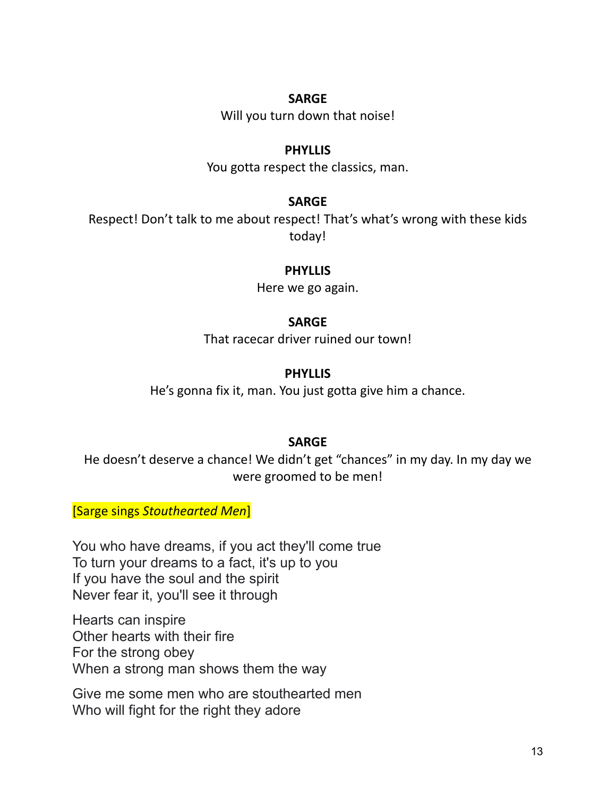#### **SARGE**

Will you turn down that noise!

# **PHYLLIS**

You gotta respect the classics, man.

# **SARGE**

Respect! Don't talk to me about respect! That's what's wrong with these kids today!

# **PHYLLIS**

Here we go again.

# **SARGE**

That racecar driver ruined our town!

# **PHYLLIS**

He's gonna fix it, man. You just gotta give him a chance.

# **SARGE**

He doesn't deserve a chance! We didn't get "chances" in my day. In my day we were groomed to be men!

[Sarge sings *Stouthearted Men*]

You who have dreams, if you act they'll come true To turn your dreams to a fact, it's up to you If you have the soul and the spirit Never fear it, you'll see it through

Hearts can inspire Other hearts with their fire For the strong obey When a strong man shows them the way

Give me some men who are stouthearted men Who will fight for the right they adore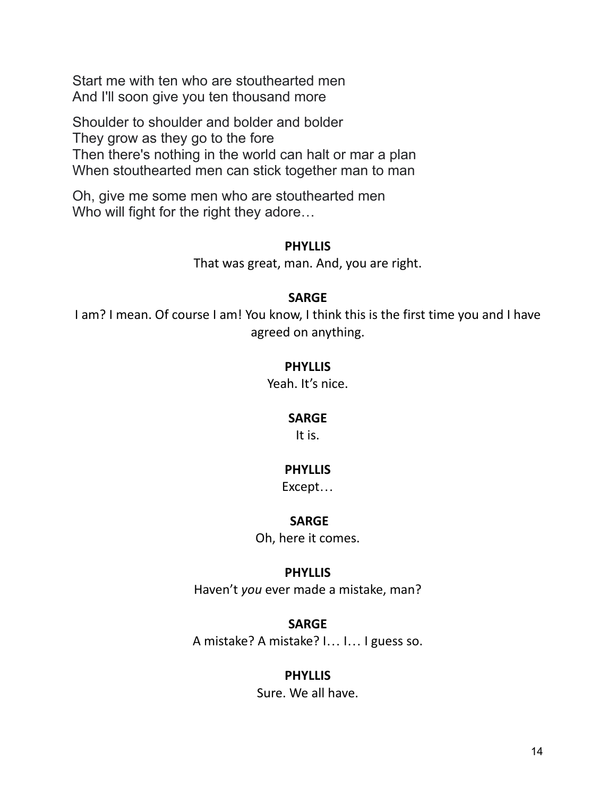Start me with ten who are stouthearted men And I'll soon give you ten thousand more

Shoulder to shoulder and bolder and bolder They grow as they go to the fore Then there's nothing in the world can halt or mar a plan When stouthearted men can stick together man to man

Oh, give me some men who are stouthearted men Who will fight for the right they adore...

#### **PHYLLIS**

That was great, man. And, you are right.

### **SARGE**

I am? I mean. Of course I am! You know, I think this is the first time you and I have agreed on anything.

# **PHYLLIS**

Yeah. It's nice.

# **SARGE**

It is.

# **PHYLLIS**

Except…

# **SARGE**

Oh, here it comes.

# **PHYLLIS**

Haven't *you* ever made a mistake, man?

# **SARGE**

A mistake? A mistake? I… I… I guess so.

# **PHYLLIS**

Sure. We all have.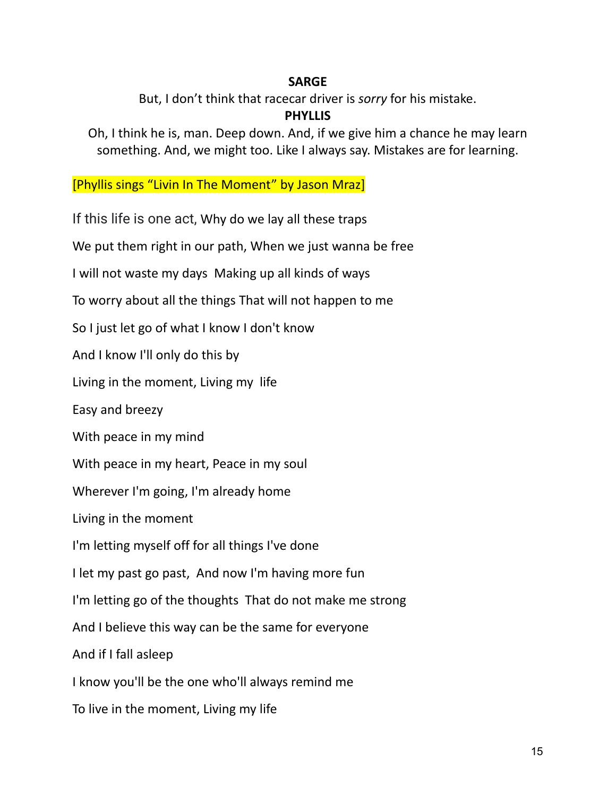#### **SARGE**

But, I don't think that racecar driver is *sorry* for his mistake.

# **PHYLLIS**

Oh, I think he is, man. Deep down. And, if we give him a chance he may learn something. And, we might too. Like I always say. Mistakes are for learning.

[Phyllis sings "Livin In The Moment" by Jason Mraz]

If this life is one act, Why do we lay all these traps

We put them right in our path, When we just wanna be free

I will not waste my days Making up all kinds of ways

To worry about all the things That will not happen to me

So I just let go of what I know I don't know

And I know I'll only do this by

Living in the moment, Living my life

Easy and breezy

With peace in my mind

With peace in my heart, Peace in my soul

Wherever I'm going, I'm already home

Living in the moment

I'm letting myself off for all things I've done

I let my past go past, And now I'm having more fun

I'm letting go of the thoughts That do not make me strong

And I believe this way can be the same for everyone

And if I fall asleep

I know you'll be the one who'll always remind me

To live in the moment, Living my life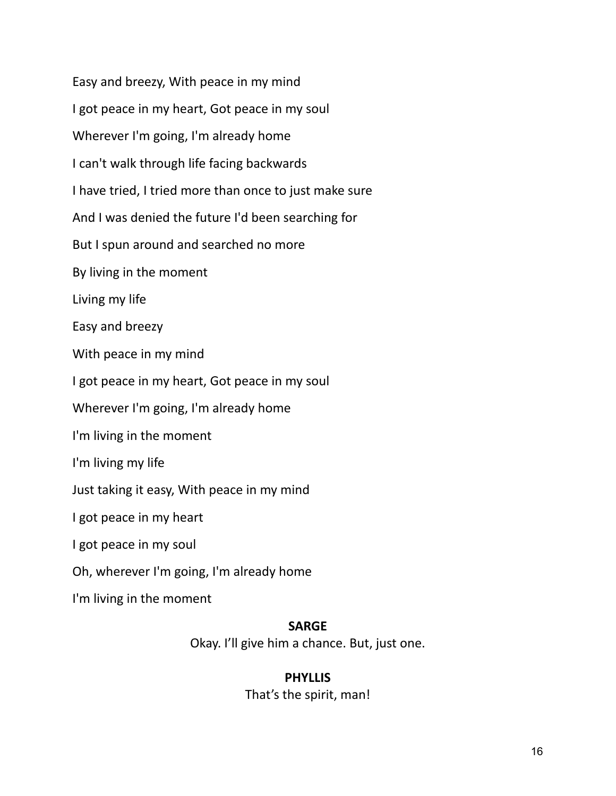Easy and breezy, With peace in my mind I got peace in my heart, Got peace in my soul Wherever I'm going, I'm already home I can't walk through life facing backwards I have tried, I tried more than once to just make sure And I was denied the future I'd been searching for But I spun around and searched no more By living in the moment Living my life Easy and breezy With peace in my mind I got peace in my heart, Got peace in my soul Wherever I'm going, I'm already home I'm living in the moment I'm living my life Just taking it easy, With peace in my mind I got peace in my heart I got peace in my soul Oh, wherever I'm going, I'm already home I'm living in the moment

#### **SARGE**

Okay. I'll give him a chance. But, just one.

#### **PHYLLIS**

That's the spirit, man!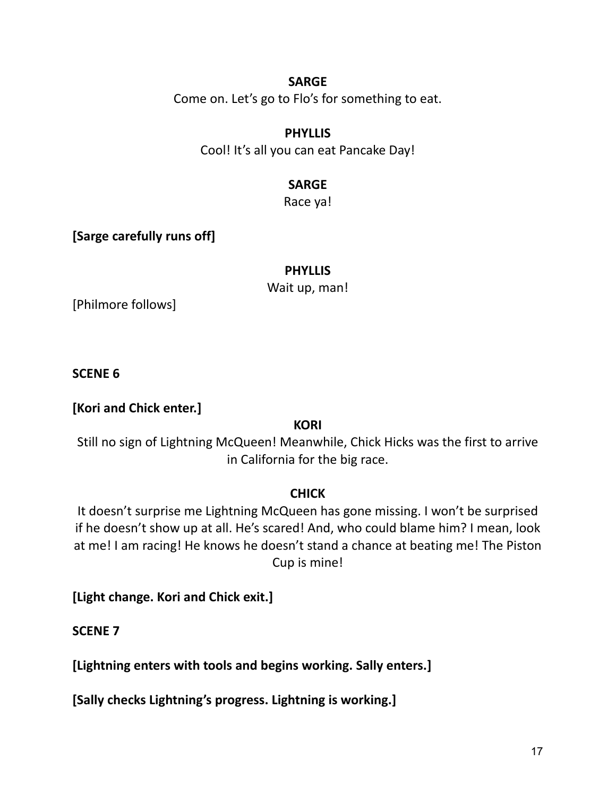### **SARGE**

Come on. Let's go to Flo's for something to eat.

### **PHYLLIS**

Cool! It's all you can eat Pancake Day!

# **SARGE**

Race ya!

**[Sarge carefully runs off]**

#### **PHYLLIS**

Wait up, man!

[Philmore follows]

**SCENE 6**

# **[Kori and Chick enter.]**

**KORI**

Still no sign of Lightning McQueen! Meanwhile, Chick Hicks was the first to arrive in California for the big race.

# **CHICK**

It doesn't surprise me Lightning McQueen has gone missing. I won't be surprised if he doesn't show up at all. He's scared! And, who could blame him? I mean, look at me! I am racing! He knows he doesn't stand a chance at beating me! The Piston Cup is mine!

**[Light change. Kori and Chick exit.]**

**SCENE 7**

**[Lightning enters with tools and begins working. Sally enters.]**

**[Sally checks Lightning's progress. Lightning is working.]**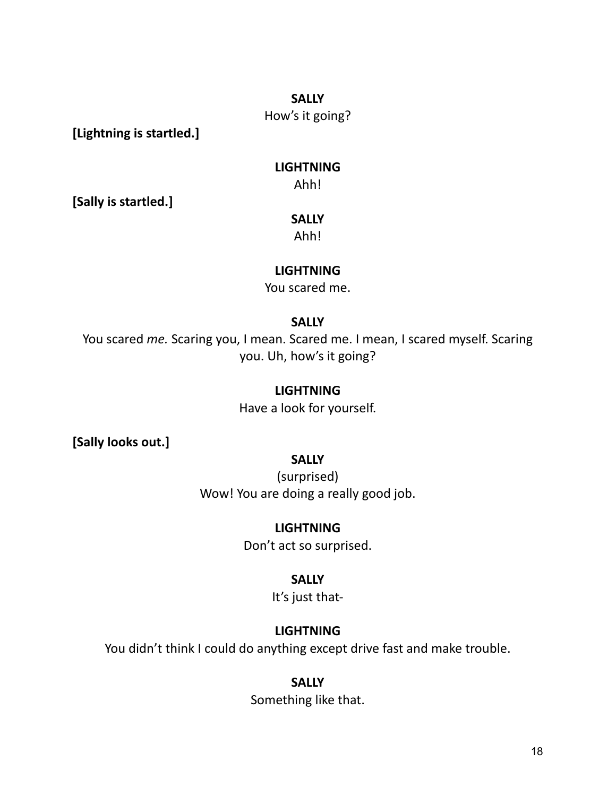#### **SALLY**

How's it going?

**[Lightning is startled.]**

#### **LIGHTNING**

Ahh!

**[Sally is startled.]**

# **SALLY**

Ahh!

# **LIGHTNING**

You scared me.

# **SALLY**

You scared *me.* Scaring you, I mean. Scared me. I mean, I scared myself. Scaring you. Uh, how's it going?

# **LIGHTNING**

Have a look for yourself.

**[Sally looks out.]**

# **SALLY**

(surprised) Wow! You are doing a really good job.

# **LIGHTNING**

Don't act so surprised.

# **SALLY**

It's just that-

# **LIGHTNING**

You didn't think I could do anything except drive fast and make trouble.

# **SALLY**

Something like that.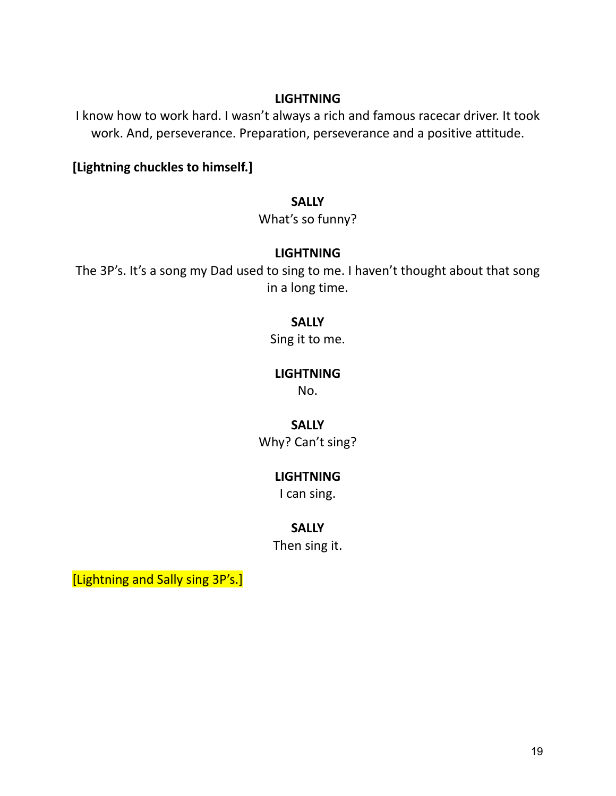#### **LIGHTNING**

I know how to work hard. I wasn't always a rich and famous racecar driver. It took work. And, perseverance. Preparation, perseverance and a positive attitude.

# **[Lightning chuckles to himself.]**

#### **SALLY**

# What's so funny?

### **LIGHTNING**

The 3P's. It's a song my Dad used to sing to me. I haven't thought about that song in a long time.

### **SALLY**

Sing it to me.

#### **LIGHTNING**

No.

# **SALLY**

# Why? Can't sing?

# **LIGHTNING**

I can sing.

# **SALLY**

Then sing it.

[Lightning and Sally sing 3P's.]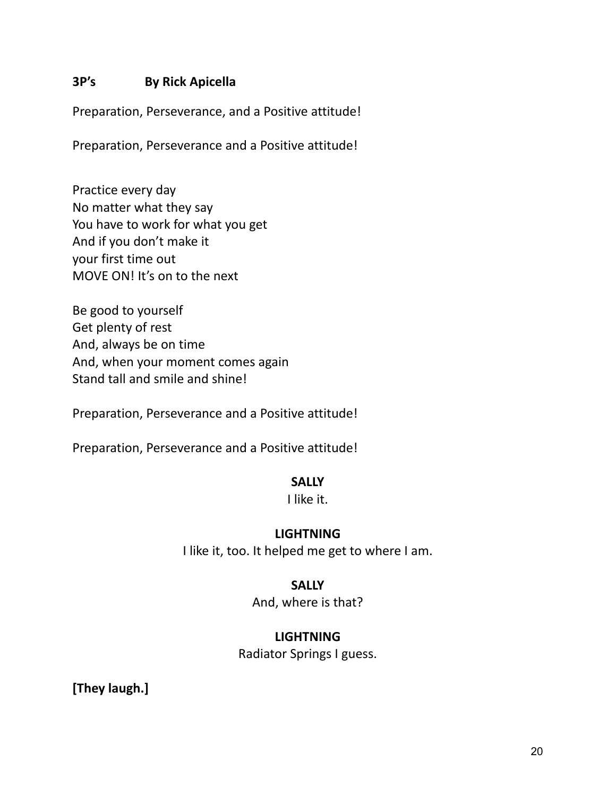### **3P's By Rick Apicella**

Preparation, Perseverance, and a Positive attitude!

Preparation, Perseverance and a Positive attitude!

Practice every day No matter what they say You have to work for what you get And if you don't make it your first time out MOVE ON! It's on to the next

Be good to yourself Get plenty of rest And, always be on time And, when your moment comes again Stand tall and smile and shine!

Preparation, Perseverance and a Positive attitude!

Preparation, Perseverance and a Positive attitude!

#### **SALLY**

I like it.

#### **LIGHTNING**

I like it, too. It helped me get to where I am.

#### **SALLY**

And, where is that?

#### **LIGHTNING**

Radiator Springs I guess.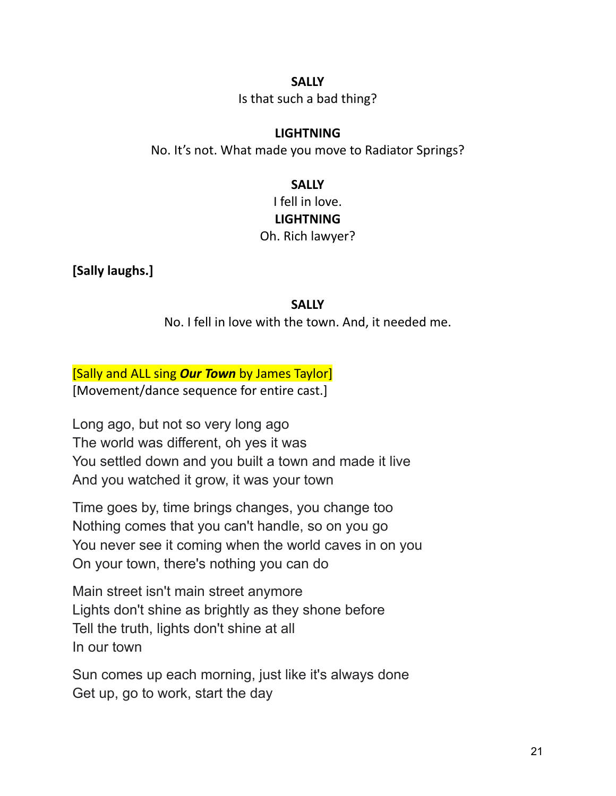### **SALLY**

Is that such a bad thing?

# **LIGHTNING**

No. It's not. What made you move to Radiator Springs?

### **SALLY**

I fell in love. **LIGHTNING** Oh. Rich lawyer?

**[Sally laughs.]**

# **SALLY**

No. I fell in love with the town. And, it needed me.

# [Sally and ALL sing *Our Town* by James Taylor] [Movement/dance sequence for entire cast.]

Long ago, but not so very long ago The world was different, oh yes it was You settled down and you built a town and made it live And you watched it grow, it was your town

Time goes by, time brings changes, you change too Nothing comes that you can't handle, so on you go You never see it coming when the world caves in on you On your town, there's nothing you can do

Main street isn't main street anymore Lights don't shine as brightly as they shone before Tell the truth, lights don't shine at all In our town

Sun comes up each morning, just like it's always done Get up, go to work, start the day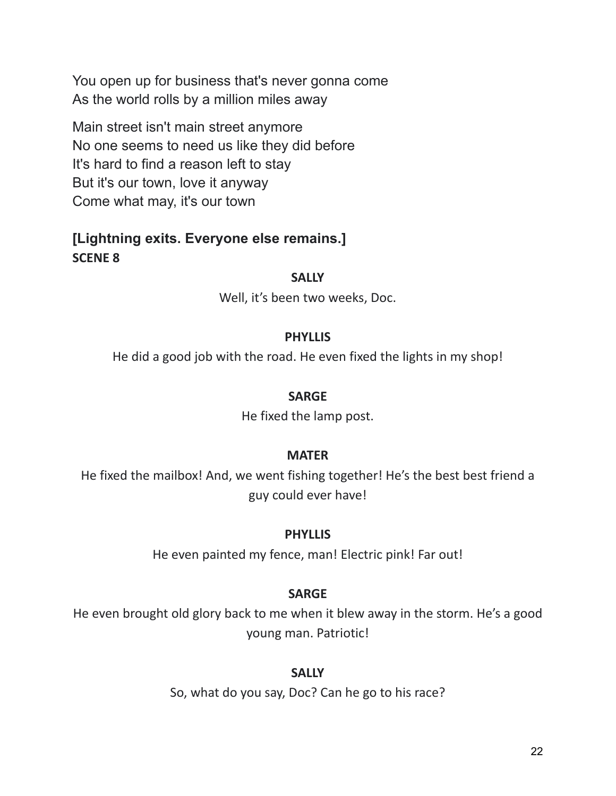You open up for business that's never gonna come As the world rolls by a million miles away

Main street isn't main street anymore No one seems to need us like they did before It's hard to find a reason left to stay But it's our town, love it anyway Come what may, it's our town

# **[Lightning exits. Everyone else remains.] SCENE 8**

# **SALLY**

Well, it's been two weeks, Doc.

# **PHYLLIS**

He did a good job with the road. He even fixed the lights in my shop!

# **SARGE**

He fixed the lamp post.

# **MATER**

He fixed the mailbox! And, we went fishing together! He's the best best friend a guy could ever have!

# **PHYLLIS**

He even painted my fence, man! Electric pink! Far out!

# **SARGE**

He even brought old glory back to me when it blew away in the storm. He's a good young man. Patriotic!

# **SALLY**

So, what do you say, Doc? Can he go to his race?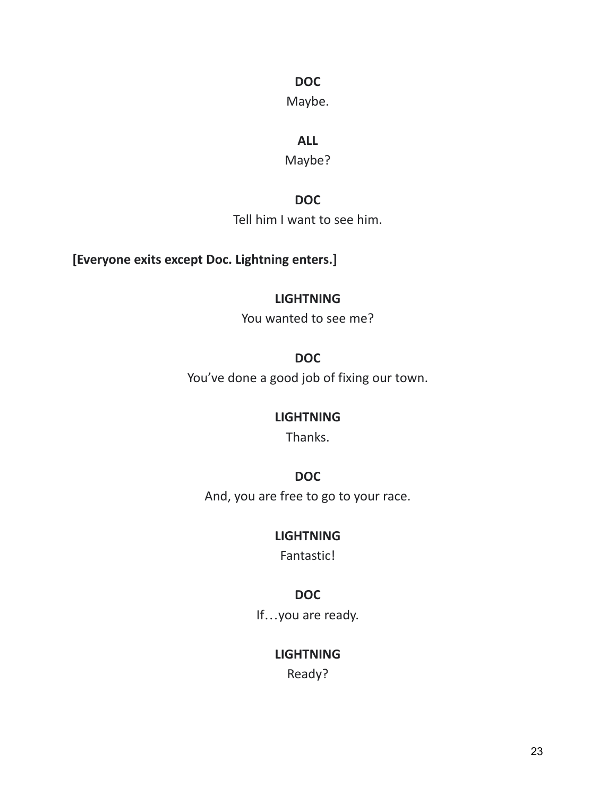#### **DOC**

Maybe.

# **ALL**

Maybe?

# **DOC**

Tell him I want to see him.

**[Everyone exits except Doc. Lightning enters.]**

# **LIGHTNING**

You wanted to see me?

# **DOC**

You've done a good job of fixing our town.

# **LIGHTNING**

Thanks.

# **DOC**

And, you are free to go to your race.

# **LIGHTNING**

Fantastic!

# **DOC**

If…you are ready.

# **LIGHTNING**

Ready?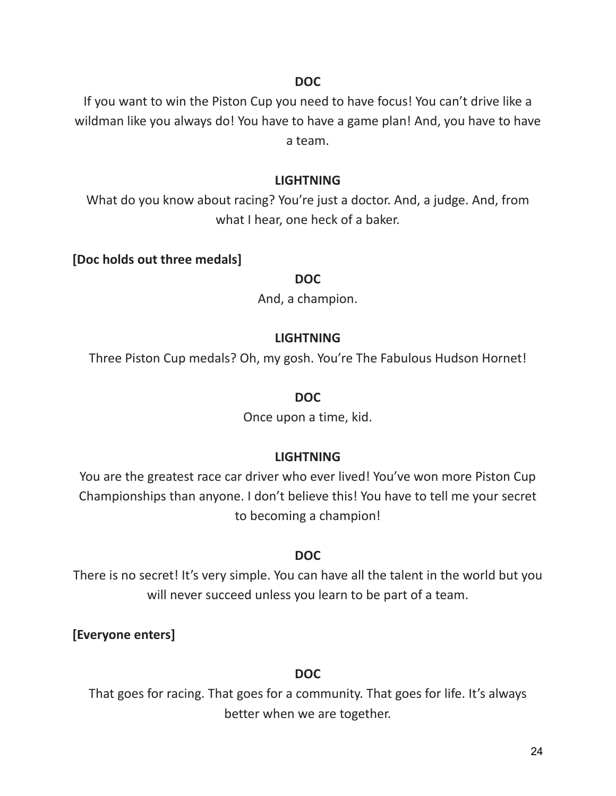### **DOC**

If you want to win the Piston Cup you need to have focus! You can't drive like a wildman like you always do! You have to have a game plan! And, you have to have a team.

#### **LIGHTNING**

What do you know about racing? You're just a doctor. And, a judge. And, from what I hear, one heck of a baker.

**[Doc holds out three medals]**

#### **DOC**

And, a champion.

#### **LIGHTNING**

Three Piston Cup medals? Oh, my gosh. You're The Fabulous Hudson Hornet!

#### **DOC**

Once upon a time, kid.

#### **LIGHTNING**

You are the greatest race car driver who ever lived! You've won more Piston Cup Championships than anyone. I don't believe this! You have to tell me your secret to becoming a champion!

#### **DOC**

There is no secret! It's very simple. You can have all the talent in the world but you will never succeed unless you learn to be part of a team.

**[Everyone enters]**

#### **DOC**

That goes for racing. That goes for a community. That goes for life. It's always better when we are together.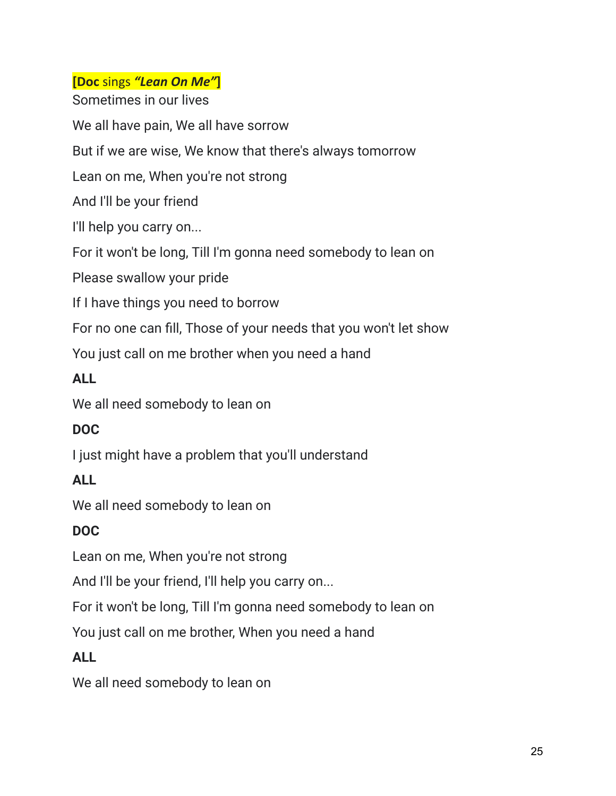# **[Doc** sings *"Lean On Me"***]**

Sometimes in our lives

We all have pain, We all have sorrow

But if we are wise, We know that there's always tomorrow

Lean on me, When you're not strong

And I'll be your friend

I'll help you carry on...

For it won't be long, Till I'm gonna need somebody to lean on

Please swallow your pride

If I have things you need to borrow

For no one can fill, Those of your needs that you won't let show

You just call on me brother when you need a hand

# **ALL**

We all need somebody to lean on

# **DOC**

I just might have a problem that you'll understand

# **ALL**

We all need somebody to lean on

# **DOC**

Lean on me, When you're not strong

And I'll be your friend, I'll help you carry on...

For it won't be long, Till I'm gonna need somebody to lean on

You just call on me brother, When you need a hand

# **ALL**

We all need somebody to lean on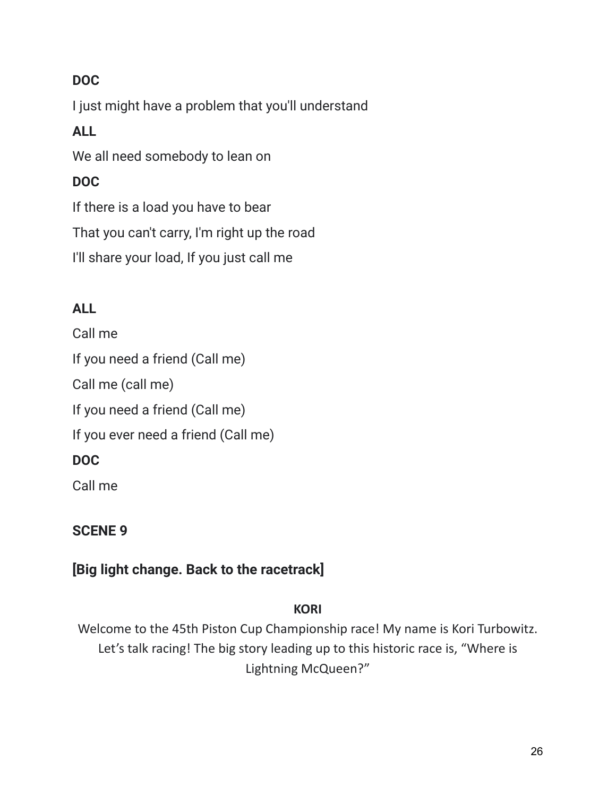# **DOC**

I just might have a problem that you'll understand

# **ALL**

We all need somebody to lean on

# **DOC**

If there is a load you have to bear

That you can't carry, I'm right up the road

I'll share your load, If you just call me

# **ALL**

Call me If you need a friend (Call me) Call me (call me) If you need a friend (Call me) If you ever need a friend (Call me) **DOC** Call me

# **SCENE 9**

# **[Big light change. Back to the racetrack]**

# **KORI**

Welcome to the 45th Piston Cup Championship race! My name is Kori Turbowitz. Let's talk racing! The big story leading up to this historic race is, "Where is Lightning McQueen?"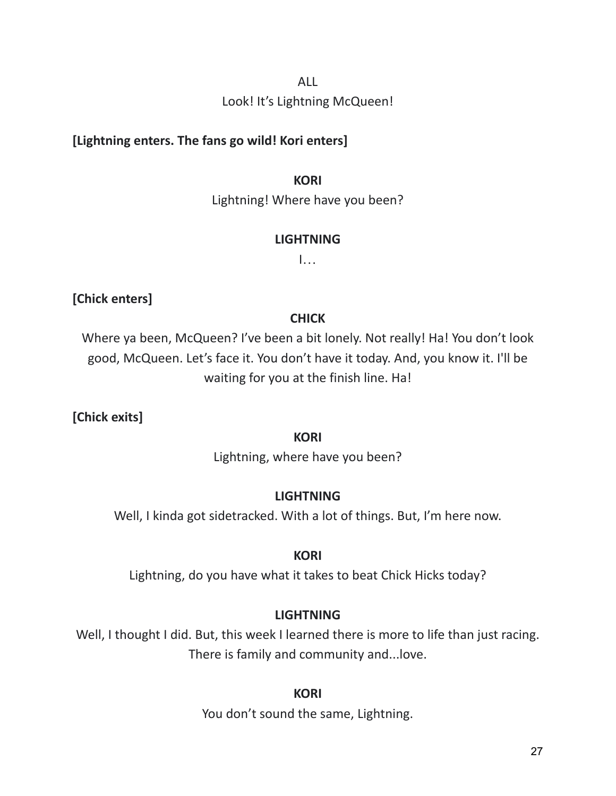#### ALL

Look! It's Lightning McQueen!

### **[Lightning enters. The fans go wild! Kori enters]**

#### **KORI**

Lightning! Where have you been?

#### **LIGHTNING**

I…

# **[Chick enters]**

# **CHICK**

Where ya been, McQueen? I've been a bit lonely. Not really! Ha! You don't look good, McQueen. Let's face it. You don't have it today. And, you know it. I'll be waiting for you at the finish line. Ha!

**[Chick exits]**

#### **KORI**

Lightning, where have you been?

#### **LIGHTNING**

Well, I kinda got sidetracked. With a lot of things. But, I'm here now.

#### **KORI**

Lightning, do you have what it takes to beat Chick Hicks today?

# **LIGHTNING**

Well, I thought I did. But, this week I learned there is more to life than just racing. There is family and community and...love.

#### **KORI**

You don't sound the same, Lightning.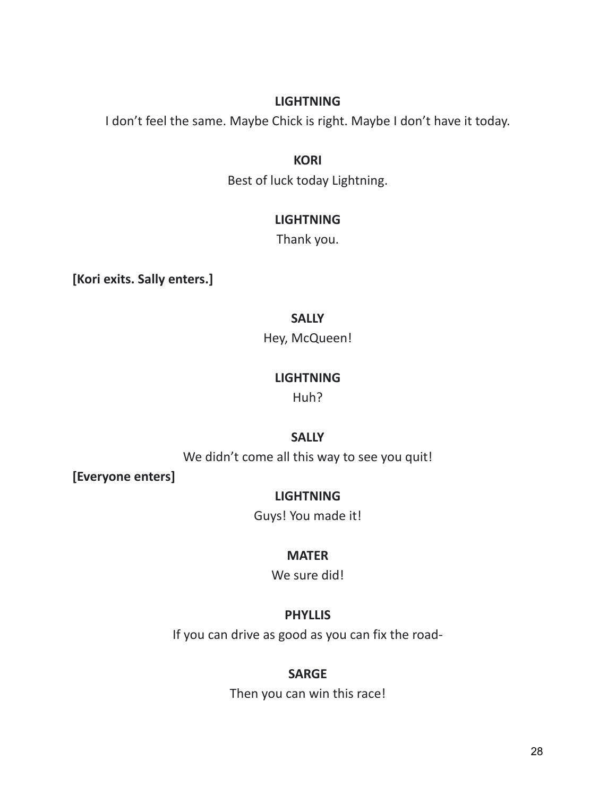### **LIGHTNING**

I don't feel the same. Maybe Chick is right. Maybe I don't have it today.

#### **KORI**

Best of luck today Lightning.

# **LIGHTNING**

Thank you.

**[Kori exits. Sally enters.]**

# **SALLY**

Hey, McQueen!

# **LIGHTNING**

Huh?

# **SALLY**

We didn't come all this way to see you quit!

**[Everyone enters]**

# **LIGHTNING**

Guys! You made it!

# **MATER**

We sure did!

# **PHYLLIS**

If you can drive as good as you can fix the road-

# **SARGE**

Then you can win this race!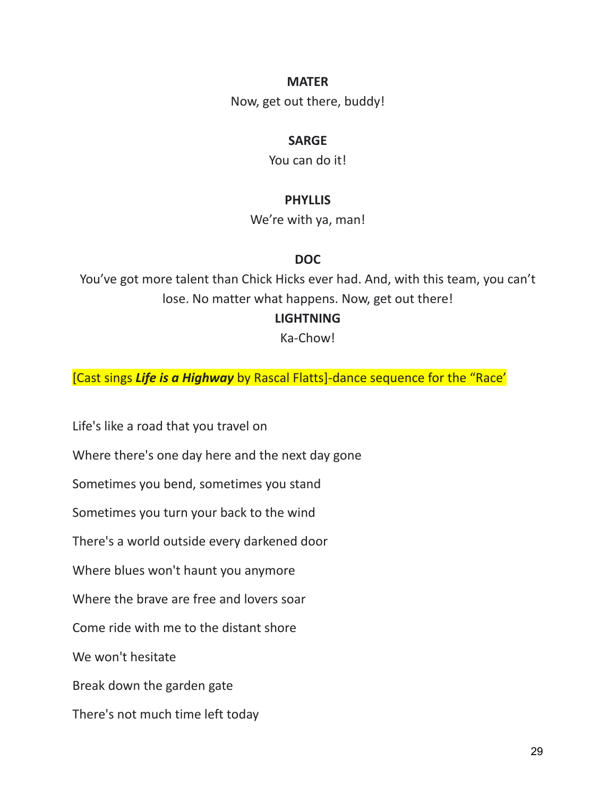#### **MATER**

Now, get out there, buddy!

### **SARGE**

You can do it!

# **PHYLLIS**

We're with ya, man!

# **DOC**

You've got more talent than Chick Hicks ever had. And, with this team, you can't lose. No matter what happens. Now, get out there!

# **LIGHTNING**

Ka-Chow!

[Cast sings *Life is a Highway* by Rascal Flatts]-dance sequence for the "Race'

Life's like a road that you travel on

Where there's one day here and the next day gone

Sometimes you bend, sometimes you stand

Sometimes you turn your back to the wind

There's a world outside every darkened door

Where blues won't haunt you anymore

Where the brave are free and lovers soar

Come ride with me to the distant shore

We won't hesitate

Break down the garden gate

There's not much time left today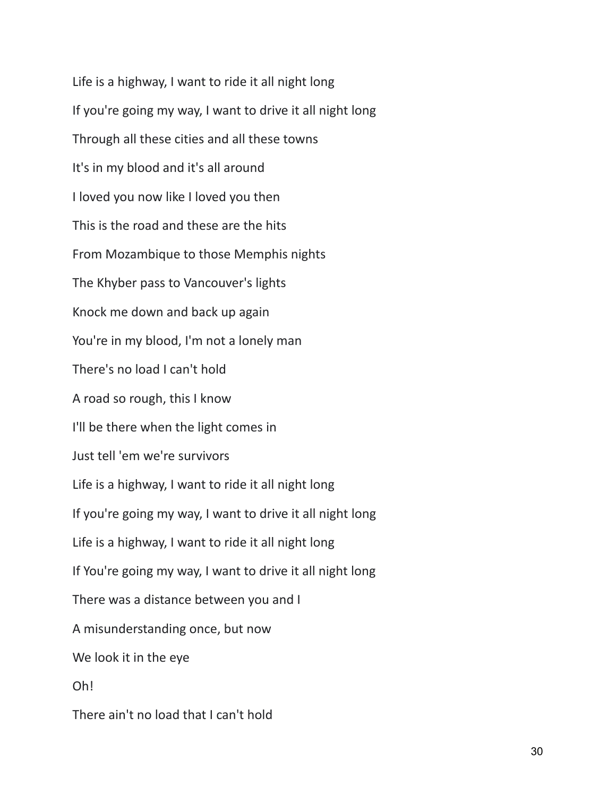Life is a highway, I want to ride it all night long If you're going my way, I want to drive it all night long Through all these cities and all these towns It's in my blood and it's all around I loved you now like I loved you then This is the road and these are the hits From Mozambique to those Memphis nights The Khyber pass to Vancouver's lights Knock me down and back up again You're in my blood, I'm not a lonely man There's no load I can't hold A road so rough, this I know I'll be there when the light comes in Just tell 'em we're survivors Life is a highway, I want to ride it all night long If you're going my way, I want to drive it all night long Life is a highway, I want to ride it all night long If You're going my way, I want to drive it all night long There was a distance between you and I A misunderstanding once, but now We look it in the eye Oh! There ain't no load that I can't hold